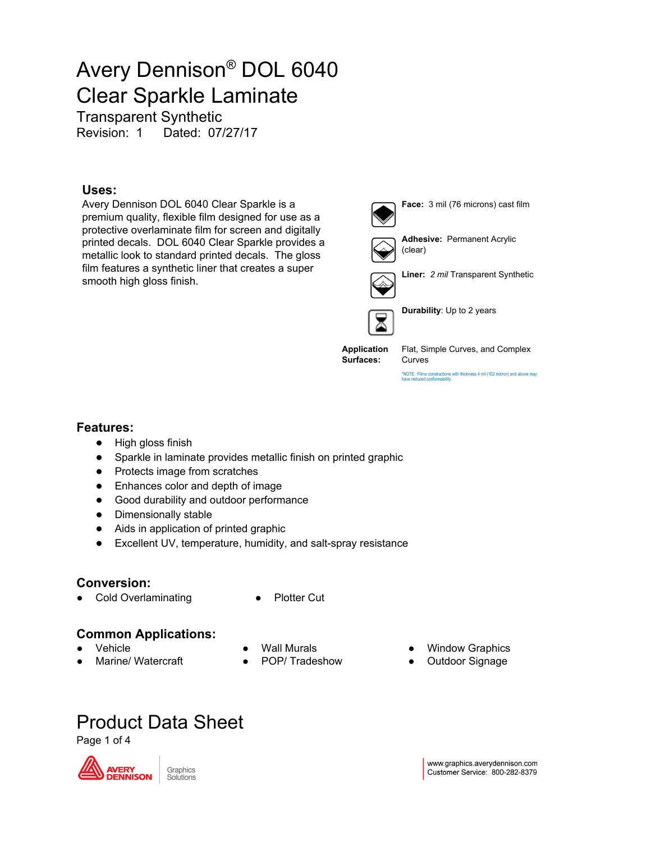Transparent Synthetic

Revision: 1 Dated: 07/27/17

#### **Uses:**

Avery Dennison DOL 6040 Clear Sparkle is a premium quality, flexible film designed for use as a protective overlaminate film for screen and digitally printed decals. DOL 6040 Clear Sparkle provides a metallic look to standard printed decals. The gloss film features a synthetic liner that creates a super smooth high gloss finish.



**Face:** 3 mil (76 microns) cast film



**Adhesive:** Permanent Acrylic (clear)



**Liner:** *2 mil* Transparent Synthetic



**Durability**: Up to 2 years

**Application Surfaces:**

Flat, Simple Curves, and Complex Curves

\*NOTE: Films constructions with thickness 4 mil (102 micron) and above may have reduced conformability.

#### **Features:**

- High gloss finish
- Sparkle in laminate provides metallic finish on printed graphic
- Protects image from scratches
- Enhances color and depth of image
- Good durability and outdoor performance
- Dimensionally stable
- Aids in application of printed graphic
- Excellent UV, temperature, humidity, and salt-spray resistance

#### **Conversion:**

- Cold Overlaminating Plotter Cut
- 

#### **Common Applications:**

- Vehicle
- Marine/ Watercraft
- **Wall Murals**
- POP/ Tradeshow
- **Window Graphics**
- Outdoor Signage

# Product Data Sheet

Page 1 of 4

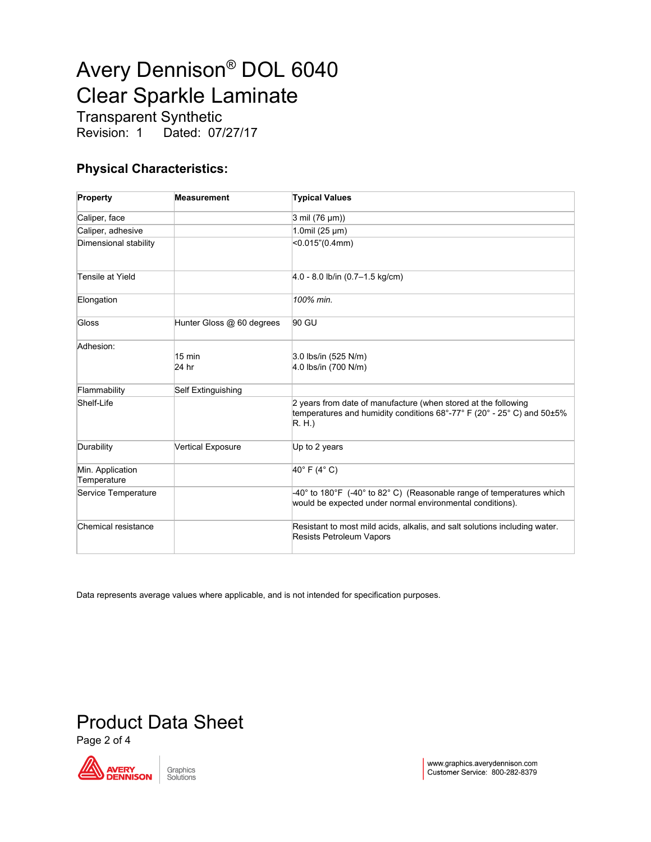Transparent Synthetic<br>Revision: 1 Dated: 07/ Dated: 07/27/17

### **Physical Characteristics:**

| Property                        | <b>Measurement</b>        | <b>Typical Values</b>                                                                                                                            |
|---------------------------------|---------------------------|--------------------------------------------------------------------------------------------------------------------------------------------------|
| Caliper, face                   |                           | $3$ mil (76 $\mu$ m))                                                                                                                            |
| Caliper, adhesive               |                           | 1.0mil (25 µm)                                                                                                                                   |
| Dimensional stability           |                           | <0.015" (0.4mm)                                                                                                                                  |
| Tensile at Yield                |                           | $4.0 - 8.0$ lb/in $(0.7 - 1.5$ kg/cm)                                                                                                            |
| Elongation                      |                           | 100% min.                                                                                                                                        |
| Gloss                           | Hunter Gloss @ 60 degrees | 90 GU                                                                                                                                            |
| Adhesion:                       | 15 min<br>24 hr           | 3.0 lbs/in (525 N/m)<br>4.0 lbs/in (700 N/m)                                                                                                     |
| Flammability                    | Self Extinguishing        |                                                                                                                                                  |
| Shelf-Life                      |                           | 2 years from date of manufacture (when stored at the following<br>temperatures and humidity conditions 68°-77° F (20° - 25° C) and 50±5%<br>R.H. |
| Durability                      | <b>Vertical Exposure</b>  | Up to 2 years                                                                                                                                    |
| Min. Application<br>Temperature |                           | 40°F (4°C)                                                                                                                                       |
| Service Temperature             |                           | -40° to 180°F (-40° to 82° C) (Reasonable range of temperatures which<br>would be expected under normal environmental conditions).               |
| Chemical resistance             |                           | Resistant to most mild acids, alkalis, and salt solutions including water.<br><b>Resists Petroleum Vapors</b>                                    |

Data represents average values where applicable, and is not intended for specification purposes.

# Product Data Sheet

Page 2 of 4

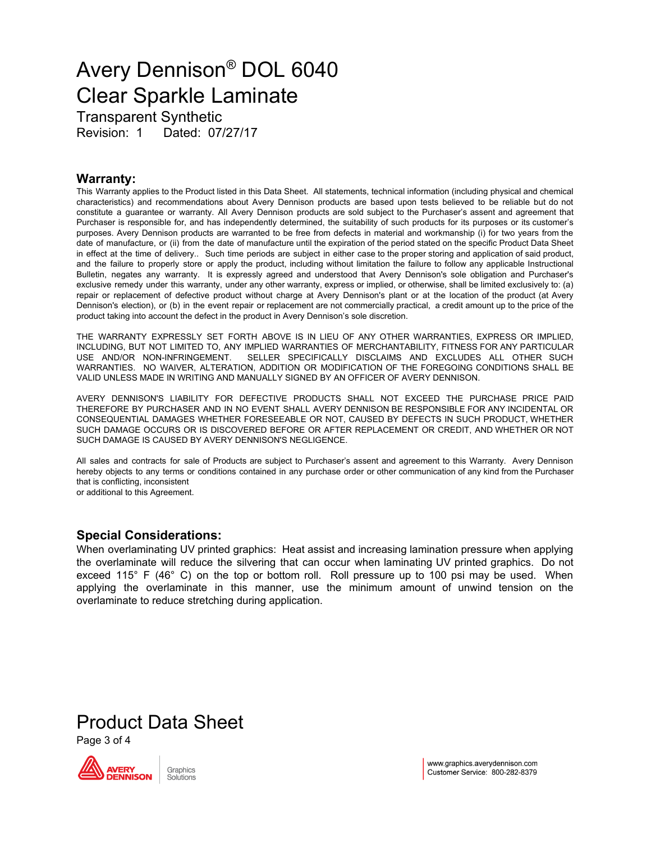Transparent Synthetic Revision: 1 Dated: 07/27/17

#### **Warranty:**

This Warranty applies to the Product listed in this Data Sheet. All statements, technical information (including physical and chemical characteristics) and recommendations about Avery Dennison products are based upon tests believed to be reliable but do not constitute a guarantee or warranty. All Avery Dennison products are sold subject to the Purchaser's assent and agreement that Purchaser is responsible for, and has independently determined, the suitability of such products for its purposes or its customer's purposes. Avery Dennison products are warranted to be free from defects in material and workmanship (i) for two years from the date of manufacture, or (ii) from the date of manufacture until the expiration of the period stated on the specific Product Data Sheet in effect at the time of delivery.. Such time periods are subject in either case to the proper storing and application of said product, and the failure to properly store or apply the product, including without limitation the failure to follow any applicable Instructional Bulletin, negates any warranty. It is expressly agreed and understood that Avery Dennison's sole obligation and Purchaser's exclusive remedy under this warranty, under any other warranty, express or implied, or otherwise, shall be limited exclusively to: (a) repair or replacement of defective product without charge at Avery Dennison's plant or at the location of the product (at Avery Dennison's election), or (b) in the event repair or replacement are not commercially practical, a credit amount up to the price of the product taking into account the defect in the product in Avery Dennison's sole discretion.

THE WARRANTY EXPRESSLY SET FORTH ABOVE IS IN LIEU OF ANY OTHER WARRANTIES, EXPRESS OR IMPLIED, INCLUDING, BUT NOT LIMITED TO, ANY IMPLIED WARRANTIES OF MERCHANTABILITY, FITNESS FOR ANY PARTICULAR USE AND/OR NON-INFRINGEMENT. SELLER SPECIFICALLY DISCLAIMS AND EXCLUDES ALL OTHER SUCH WARRANTIES. NO WAIVER, ALTERATION, ADDITION OR MODIFICATION OF THE FOREGOING CONDITIONS SHALL BE VALID UNLESS MADE IN WRITING AND MANUALLY SIGNED BY AN OFFICER OF AVERY DENNISON.

AVERY DENNISON'S LIABILITY FOR DEFECTIVE PRODUCTS SHALL NOT EXCEED THE PURCHASE PRICE PAID THEREFORE BY PURCHASER AND IN NO EVENT SHALL AVERY DENNISON BE RESPONSIBLE FOR ANY INCIDENTAL OR CONSEQUENTIAL DAMAGES WHETHER FORESEEABLE OR NOT, CAUSED BY DEFECTS IN SUCH PRODUCT, WHETHER SUCH DAMAGE OCCURS OR IS DISCOVERED BEFORE OR AFTER REPLACEMENT OR CREDIT, AND WHETHER OR NOT SUCH DAMAGE IS CAUSED BY AVERY DENNISON'S NEGLIGENCE.

All sales and contracts for sale of Products are subject to Purchaser's assent and agreement to this Warranty. Avery Dennison hereby objects to any terms or conditions contained in any purchase order or other communication of any kind from the Purchaser that is conflicting, inconsistent

or additional to this Agreement.

#### **Special Considerations:**

When overlaminating UV printed graphics: Heat assist and increasing lamination pressure when applying the overlaminate will reduce the silvering that can occur when laminating UV printed graphics. Do not exceed 115° F (46° C) on the top or bottom roll. Roll pressure up to 100 psi may be used. When applying the overlaminate in this manner, use the minimum amount of unwind tension on the overlaminate to reduce stretching during application.

# Product Data Sheet

Page 3 of 4